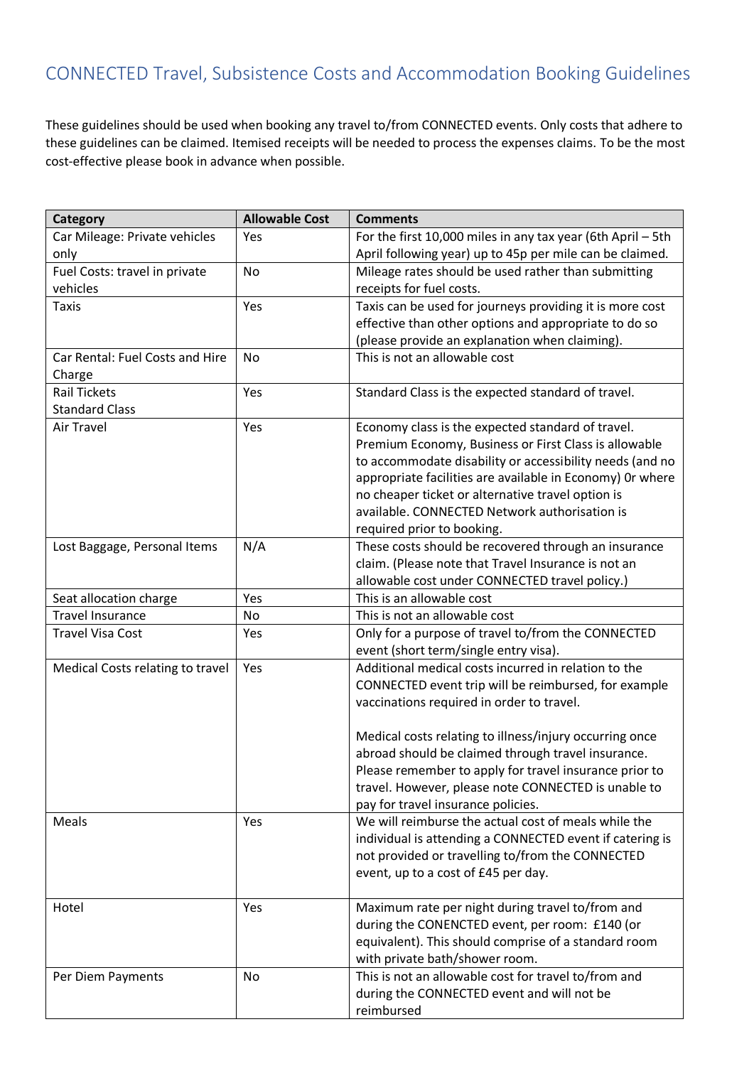These guidelines should be used when booking any travel to/from CONNECTED events. Only costs that adhere to these guidelines can be claimed. Itemised receipts will be needed to process the expenses claims. To be the most cost-effective please book in advance when possible.

| Category                         | <b>Allowable Cost</b> | <b>Comments</b>                                             |
|----------------------------------|-----------------------|-------------------------------------------------------------|
| Car Mileage: Private vehicles    | Yes                   | For the first 10,000 miles in any tax year (6th April - 5th |
| only                             |                       | April following year) up to 45p per mile can be claimed.    |
| Fuel Costs: travel in private    | <b>No</b>             | Mileage rates should be used rather than submitting         |
| vehicles                         |                       | receipts for fuel costs.                                    |
| <b>Taxis</b>                     | Yes                   | Taxis can be used for journeys providing it is more cost    |
|                                  |                       | effective than other options and appropriate to do so       |
|                                  |                       | (please provide an explanation when claiming).              |
| Car Rental: Fuel Costs and Hire  | <b>No</b>             | This is not an allowable cost                               |
| Charge                           |                       |                                                             |
| <b>Rail Tickets</b>              | Yes                   | Standard Class is the expected standard of travel.          |
| <b>Standard Class</b>            |                       |                                                             |
| Air Travel                       | Yes                   | Economy class is the expected standard of travel.           |
|                                  |                       | Premium Economy, Business or First Class is allowable       |
|                                  |                       | to accommodate disability or accessibility needs (and no    |
|                                  |                       | appropriate facilities are available in Economy) Or where   |
|                                  |                       | no cheaper ticket or alternative travel option is           |
|                                  |                       | available. CONNECTED Network authorisation is               |
|                                  |                       | required prior to booking.                                  |
| Lost Baggage, Personal Items     | N/A                   | These costs should be recovered through an insurance        |
|                                  |                       | claim. (Please note that Travel Insurance is not an         |
|                                  |                       | allowable cost under CONNECTED travel policy.)              |
| Seat allocation charge           | Yes                   | This is an allowable cost                                   |
| <b>Travel Insurance</b>          | No                    | This is not an allowable cost                               |
| <b>Travel Visa Cost</b>          | Yes                   | Only for a purpose of travel to/from the CONNECTED          |
|                                  |                       | event (short term/single entry visa).                       |
| Medical Costs relating to travel | Yes                   | Additional medical costs incurred in relation to the        |
|                                  |                       | CONNECTED event trip will be reimbursed, for example        |
|                                  |                       | vaccinations required in order to travel.                   |
|                                  |                       |                                                             |
|                                  |                       | Medical costs relating to illness/injury occurring once     |
|                                  |                       | abroad should be claimed through travel insurance.          |
|                                  |                       | Please remember to apply for travel insurance prior to      |
|                                  |                       | travel. However, please note CONNECTED is unable to         |
|                                  |                       | pay for travel insurance policies.                          |
| Meals                            | Yes                   | We will reimburse the actual cost of meals while the        |
|                                  |                       | individual is attending a CONNECTED event if catering is    |
|                                  |                       | not provided or travelling to/from the CONNECTED            |
|                                  |                       | event, up to a cost of £45 per day.                         |
|                                  |                       |                                                             |
| Hotel                            | Yes                   | Maximum rate per night during travel to/from and            |
|                                  |                       | during the CONENCTED event, per room: £140 (or              |
|                                  |                       | equivalent). This should comprise of a standard room        |
|                                  |                       | with private bath/shower room.                              |
| Per Diem Payments                | No                    | This is not an allowable cost for travel to/from and        |
|                                  |                       | during the CONNECTED event and will not be                  |
|                                  |                       | reimbursed                                                  |